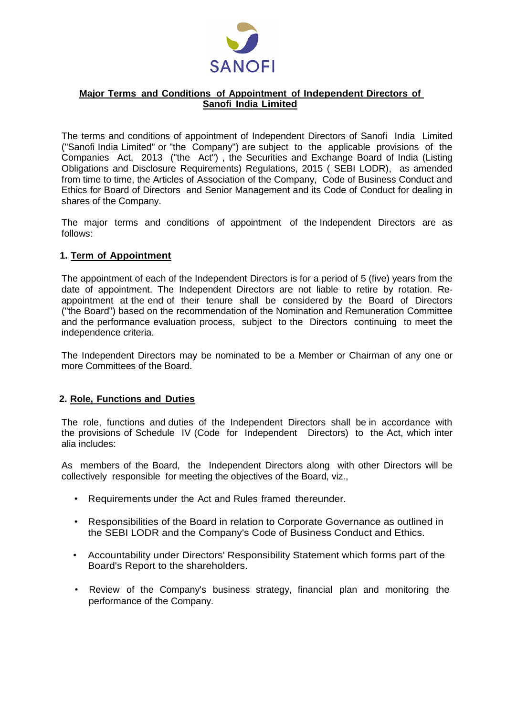

# **Major Terms and Conditions of Appointment of Independent Directors of Sanofi India Limited**

The terms and conditions of appointment of Independent Directors of Sanofi India Limited ("Sanofi India Limited" or "the Company") are subject to the applicable provisions of the Companies Act, 2013 ("the Act") , the Securities and Exchange Board of India (Listing Obligations and Disclosure Requirements) Regulations, 2015 ( SEBI LODR), as amended from time to time, the Articles of Association of the Company, Code of Business Conduct and Ethics for Board of Directors and Senior Management and its Code of Conduct for dealing in shares of the Company.

The major terms and conditions of appointment of the Independent Directors are as follows:

### **1. Term of Appointment**

The appointment of each of the Independent Directors is for a period of 5 (five) years from the date of appointment. The Independent Directors are not liable to retire by rotation. Reappointment at the end of their tenure shall be considered by the Board of Directors ("the Board") based on the recommendation of the Nomination and Remuneration Committee and the performance evaluation process, subject to the Directors continuing to meet the independence criteria.

The Independent Directors may be nominated to be a Member or Chairman of any one or more Committees of the Board.

### **2. Role, Functions and Duties**

The role, functions and duties of the Independent Directors shall be in accordance with the provisions of Schedule IV (Code for Independent Directors) to the Act, which inter alia includes:

As members of the Board, the Independent Directors along with other Directors will be collectively responsible for meeting the objectives of the Board, viz.,

- Requirements under the Act and Rules framed thereunder.
- Responsibilities of the Board in relation to Corporate Governance as outlined in the SEBI LODR and the Company's Code of Business Conduct and Ethics.
- Accountability under Directors' Responsibility Statement which forms part of the Board's Report to the shareholders.
- Review of the Company's business strategy, financial plan and monitoring the performance of the Company.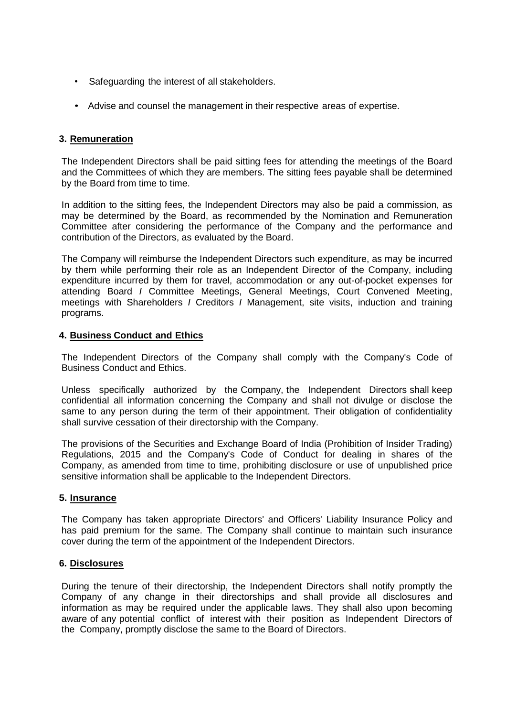- Safeguarding the interest of all stakeholders.
- Advise and counsel the management in their respective areas of expertise.

# **3. Remuneration**

The Independent Directors shall be paid sitting fees for attending the meetings of the Board and the Committees of which they are members. The sitting fees payable shall be determined by the Board from time to time.

In addition to the sitting fees, the Independent Directors may also be paid a commission, as may be determined by the Board, as recommended by the Nomination and Remuneration Committee after considering the performance of the Company and the performance and contribution of the Directors, as evaluated by the Board.

The Company will reimburse the Independent Directors such expenditure, as may be incurred by them while performing their role as an Independent Director of the Company, including expenditure incurred by them for travel, accommodation or any out-of-pocket expenses for attending Board *I* Committee Meetings, General Meetings, Court Convened Meeting, meetings with Shareholders *I* Creditors *I* Management, site visits, induction and training programs.

### **4. Business Conduct and Ethics**

The Independent Directors of the Company shall comply with the Company's Code of Business Conduct and Ethics.

Unless specifically authorized by the Company, the Independent Directors shall keep confidential all information concerning the Company and shall not divulge or disclose the same to any person during the term of their appointment. Their obligation of confidentiality shall survive cessation of their directorship with the Company.

The provisions of the Securities and Exchange Board of India (Prohibition of Insider Trading) Regulations, 2015 and the Company's Code of Conduct for dealing in shares of the Company, as amended from time to time, prohibiting disclosure or use of unpublished price sensitive information shall be applicable to the Independent Directors.

### **5. Insurance**

The Company has taken appropriate Directors' and Officers' Liability Insurance Policy and has paid premium for the same. The Company shall continue to maintain such insurance cover during the term of the appointment of the Independent Directors.

### **6. Disclosures**

During the tenure of their directorship, the Independent Directors shall notify promptly the Company of any change in their directorships and shall provide all disclosures and information as may be required under the applicable laws. They shall also upon becoming aware of any potential conflict of interest with their position as Independent Directors of the Company, promptly disclose the same to the Board of Directors.